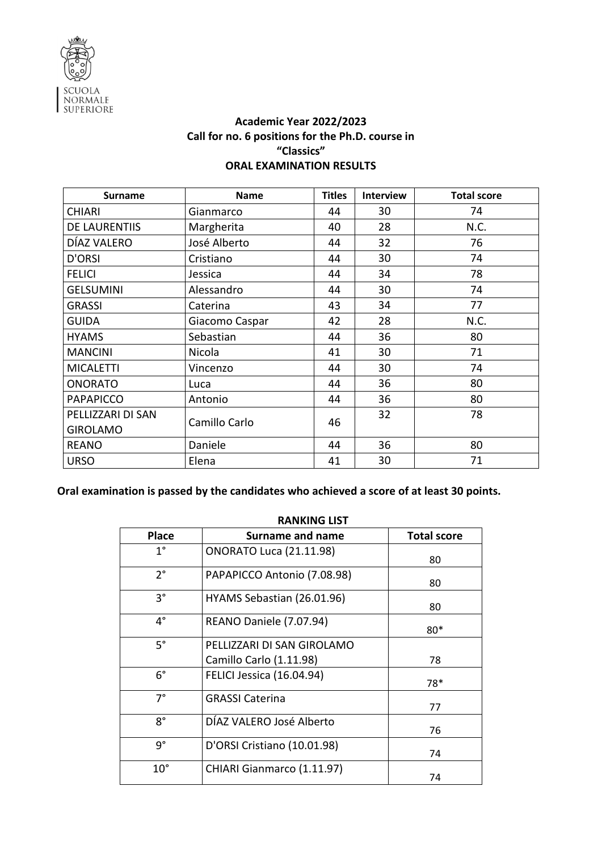

## **Academic Year 2022/2023 Call for no. 6 positions for the Ph.D. course in "Classics" ORAL EXAMINATION RESULTS**

| <b>Surname</b>    | <b>Name</b>    | <b>Titles</b> | <b>Interview</b> | <b>Total score</b> |
|-------------------|----------------|---------------|------------------|--------------------|
| <b>CHIARI</b>     | Gianmarco      | 44            | 30               | 74                 |
| DE LAURENTIIS     | Margherita     | 40            | 28               | N.C.               |
| DÍAZ VALERO       | José Alberto   | 44            | 32               | 76                 |
| D'ORSI            | Cristiano      | 44            | 30               | 74                 |
| <b>FELICI</b>     | Jessica        | 44            | 34               | 78                 |
| <b>GELSUMINI</b>  | Alessandro     | 44            | 30               | 74                 |
| <b>GRASSI</b>     | Caterina       | 43            | 34               | 77                 |
| <b>GUIDA</b>      | Giacomo Caspar | 42            | 28               | N.C.               |
| <b>HYAMS</b>      | Sebastian      | 44            | 36               | 80                 |
| <b>MANCINI</b>    | Nicola         | 41            | 30               | 71                 |
| <b>MICALETTI</b>  | Vincenzo       | 44            | 30               | 74                 |
| <b>ONORATO</b>    | Luca           | 44            | 36               | 80                 |
| <b>PAPAPICCO</b>  | Antonio        | 44            | 36               | 80                 |
| PELLIZZARI DI SAN | Camillo Carlo  | 46            | 32               | 78                 |
| <b>GIROLAMO</b>   |                |               |                  |                    |
| <b>REANO</b>      | Daniele        | 44            | 36               | 80                 |
| <b>URSO</b>       | Elena          | 41            | 30               | 71                 |

**Oral examination is passed by the candidates who achieved a score of at least 30 points.**

|              | <b>RANKING LIST</b>            |                    |
|--------------|--------------------------------|--------------------|
| <b>Place</b> | <b>Surname and name</b>        | <b>Total score</b> |
| $1^{\circ}$  | <b>ONORATO Luca (21.11.98)</b> | 80                 |
| $2^{\circ}$  | PAPAPICCO Antonio (7.08.98)    | 80                 |
| $3^{\circ}$  | HYAMS Sebastian (26.01.96)     | 80                 |
| $4^{\circ}$  | REANO Daniele (7.07.94)        | $80*$              |
| $5^\circ$    | PELLIZZARI DI SAN GIROLAMO     |                    |
|              | Camillo Carlo (1.11.98)        | 78                 |
| $6^{\circ}$  | FELICI Jessica (16.04.94)      | 78*                |
| $7^{\circ}$  | <b>GRASSI Caterina</b>         | 77                 |
| 8°           | DÍAZ VALERO José Alberto       | 76                 |
| g°           | D'ORSI Cristiano (10.01.98)    | 74                 |
| $10^{\circ}$ | CHIARI Gianmarco (1.11.97)     | 74                 |